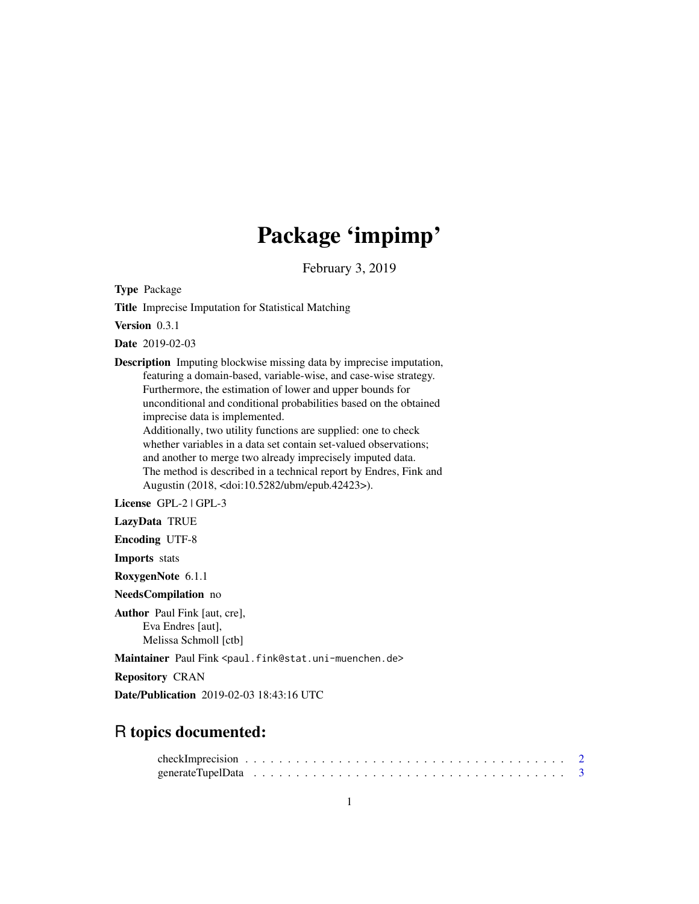# Package 'impimp'

February 3, 2019

<span id="page-0-0"></span>Type Package

Title Imprecise Imputation for Statistical Matching

Version 0.3.1

Date 2019-02-03

Description Imputing blockwise missing data by imprecise imputation, featuring a domain-based, variable-wise, and case-wise strategy. Furthermore, the estimation of lower and upper bounds for unconditional and conditional probabilities based on the obtained imprecise data is implemented. Additionally, two utility functions are supplied: one to check

whether variables in a data set contain set-valued observations; and another to merge two already imprecisely imputed data. The method is described in a technical report by Endres, Fink and Augustin (2018, <doi:10.5282/ubm/epub.42423>).

License GPL-2 | GPL-3

LazyData TRUE

Encoding UTF-8

Imports stats

RoxygenNote 6.1.1

NeedsCompilation no

Author Paul Fink [aut, cre], Eva Endres [aut], Melissa Schmoll [ctb]

Maintainer Paul Fink <paul.fink@stat.uni-muenchen.de>

Repository CRAN

Date/Publication 2019-02-03 18:43:16 UTC

# R topics documented: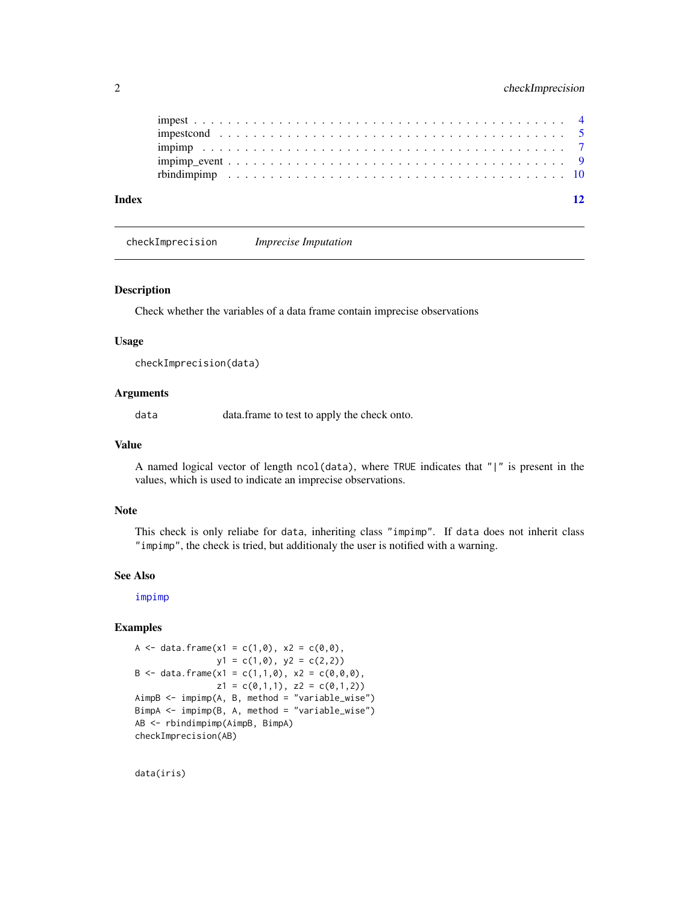<span id="page-1-0"></span>

| Index |  |  |  |  |  |  |  |  |  |  |  |  |  |  |  |  |  |  |  |  |  |
|-------|--|--|--|--|--|--|--|--|--|--|--|--|--|--|--|--|--|--|--|--|--|
|       |  |  |  |  |  |  |  |  |  |  |  |  |  |  |  |  |  |  |  |  |  |
|       |  |  |  |  |  |  |  |  |  |  |  |  |  |  |  |  |  |  |  |  |  |
|       |  |  |  |  |  |  |  |  |  |  |  |  |  |  |  |  |  |  |  |  |  |
|       |  |  |  |  |  |  |  |  |  |  |  |  |  |  |  |  |  |  |  |  |  |
|       |  |  |  |  |  |  |  |  |  |  |  |  |  |  |  |  |  |  |  |  |  |

checkImprecision *Imprecise Imputation*

### Description

Check whether the variables of a data frame contain imprecise observations

#### Usage

checkImprecision(data)

#### Arguments

data data.frame to test to apply the check onto.

#### Value

A named logical vector of length ncol(data), where TRUE indicates that "|" is present in the values, which is used to indicate an imprecise observations.

#### Note

This check is only reliabe for data, inheriting class "impimp". If data does not inherit class "impimp", the check is tried, but additionaly the user is notified with a warning.

#### See Also

[impimp](#page-6-1)

# Examples

```
A <- data.frame(x1 = c(1,0), x2 = c(0,0),
               y1 = c(1,0), y2 = c(2,2)B <- data.frame(x1 = c(1,1,0), x2 = c(0,0,0),
               z1 = c(0,1,1), z2 = c(0,1,2)AimpB <- impimp(A, B, method = "variable_wise")
BimpA <- impimp(B, A, method = "variable_wise")
AB <- rbindimpimp(AimpB, BimpA)
checkImprecision(AB)
```
data(iris)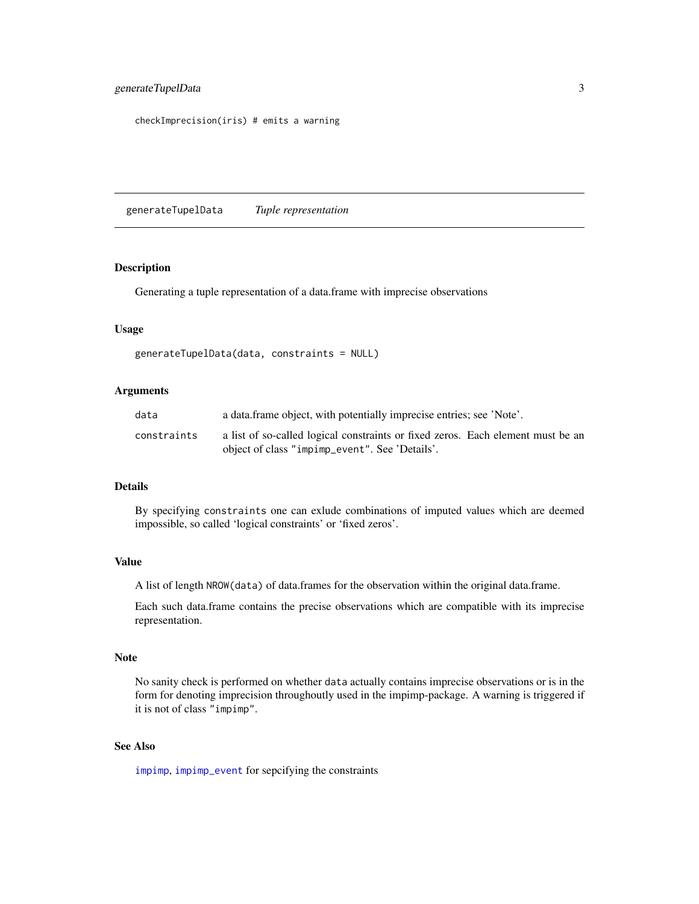```
checkImprecision(iris) # emits a warning
```
generateTupelData *Tuple representation*

#### Description

Generating a tuple representation of a data.frame with imprecise observations

#### Usage

```
generateTupelData(data, constraints = NULL)
```
#### Arguments

| data        | a data frame object, with potentially imprecise entries; see 'Note'.            |
|-------------|---------------------------------------------------------------------------------|
| constraints | a list of so-called logical constraints or fixed zeros. Each element must be an |
|             | object of class "impimp_event". See 'Details'.                                  |

#### Details

By specifying constraints one can exlude combinations of imputed values which are deemed impossible, so called 'logical constraints' or 'fixed zeros'.

# Value

A list of length NROW(data) of data.frames for the observation within the original data.frame.

Each such data.frame contains the precise observations which are compatible with its imprecise representation.

### Note

No sanity check is performed on whether data actually contains imprecise observations or is in the form for denoting imprecision throughoutly used in the impimp-package. A warning is triggered if it is not of class "impimp".

# See Also

[impimp](#page-6-1), [impimp\\_event](#page-8-1) for sepcifying the constraints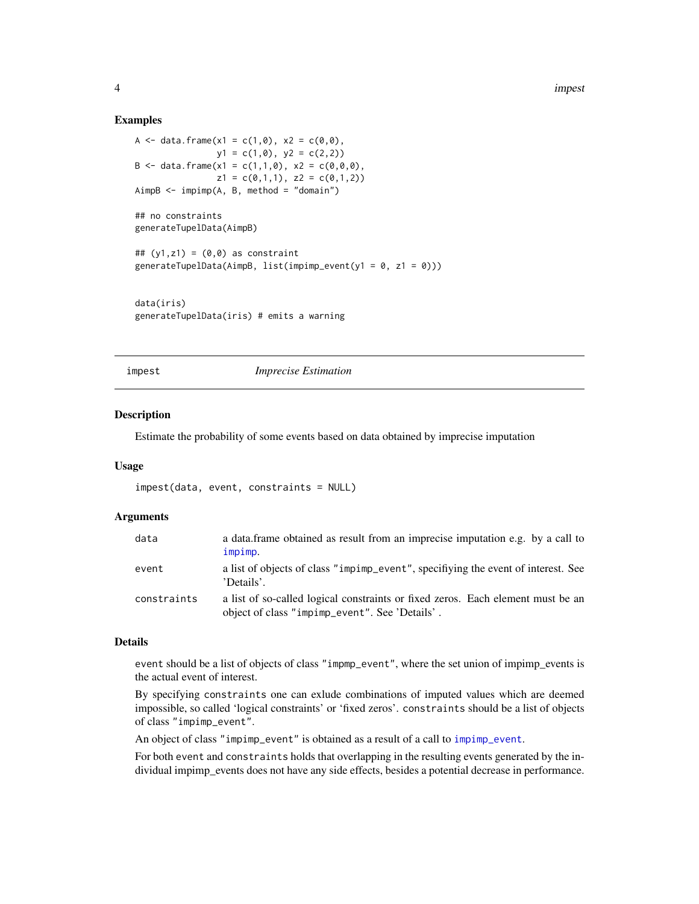#### Examples

```
A <- data.frame(x1 = c(1,0), x2 = c(0,0),
               y1 = c(1, 0), y2 = c(2, 2)B <- data.frame(x1 = c(1,1,0), x2 = c(0,0,0),
               z1 = c(0,1,1), z2 = c(0,1,2)AimpB \leq -impimp(A, B, method = "domain")## no constraints
generateTupelData(AimpB)
## (y1, z1) = (0, 0) as constraint
generateTupelData(AimpB, list(impimp_event(y1 = 0, z1 = 0)))
data(iris)
generateTupelData(iris) # emits a warning
```
<span id="page-3-1"></span>impest *Imprecise Estimation*

#### Description

Estimate the probability of some events based on data obtained by imprecise imputation

#### Usage

```
impest(data, event, constraints = NULL)
```
#### Arguments

| data        | a data frame obtained as result from an imprecise imputation e.g. by a call to<br>impimp.                                         |
|-------------|-----------------------------------------------------------------------------------------------------------------------------------|
| event       | a list of objects of class "impimp_event", specifiying the event of interest. See<br>'Details'.                                   |
| constraints | a list of so-called logical constraints or fixed zeros. Each element must be an<br>object of class "impimp_event". See 'Details'. |

#### Details

event should be a list of objects of class "impmp\_event", where the set union of impimp\_events is the actual event of interest.

By specifying constraints one can exlude combinations of imputed values which are deemed impossible, so called 'logical constraints' or 'fixed zeros'. constraints should be a list of objects of class "impimp\_event".

An object of class "impimp\_event" is obtained as a result of a call to [impimp\\_event](#page-8-1).

For both event and constraints holds that overlapping in the resulting events generated by the individual impimp\_events does not have any side effects, besides a potential decrease in performance.

<span id="page-3-0"></span>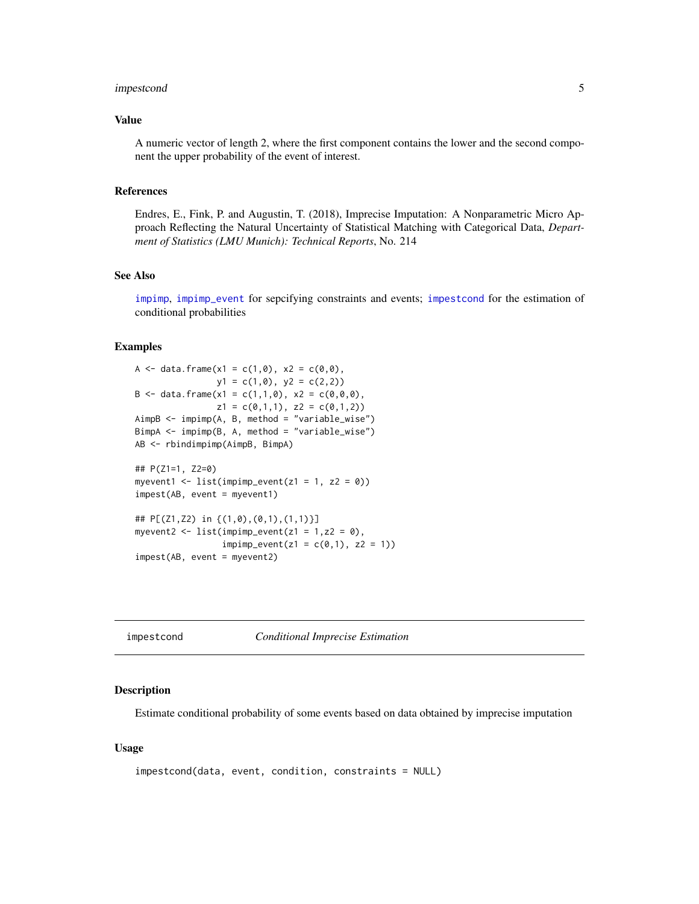# <span id="page-4-0"></span>impestcond 5

# Value

A numeric vector of length 2, where the first component contains the lower and the second component the upper probability of the event of interest.

#### References

Endres, E., Fink, P. and Augustin, T. (2018), Imprecise Imputation: A Nonparametric Micro Approach Reflecting the Natural Uncertainty of Statistical Matching with Categorical Data, *Department of Statistics (LMU Munich): Technical Reports*, No. 214

# See Also

[impimp](#page-6-1), [impimp\\_event](#page-8-1) for sepcifying constraints and events; [impestcond](#page-4-1) for the estimation of conditional probabilities

#### Examples

```
A <- data.frame(x1 = c(1,0), x2 = c(0,0),
               y1 = c(1, 0), y2 = c(2, 2)B <- data.frame(x1 = c(1,1,0), x2 = c(0,0,0),
               z1 = c(0,1,1), z2 = c(0,1,2)AimpB <- impimp(A, B, method = "variable_wise")
BimpA <- impimp(B, A, method = "variable_wise")
AB <- rbindimpimp(AimpB, BimpA)
## P(Z1=1, Z2=0)
myevent1 <- list(impimp_event(z1 = 1, z2 = 0))
impest(AB, event = myevent1)
## P[(Z1,Z2) in {(1,0),(0,1),(1,1)}]
myevent2 <- list(impimp_event(z1 = 1, z2 = 0),
                 impimp_events(z1 = c(0,1), z2 = 1))impest(AB, event = myevent2)
```
<span id="page-4-1"></span>impestcond *Conditional Imprecise Estimation*

# Description

Estimate conditional probability of some events based on data obtained by imprecise imputation

#### Usage

```
impestcond(data, event, condition, constraints = NULL)
```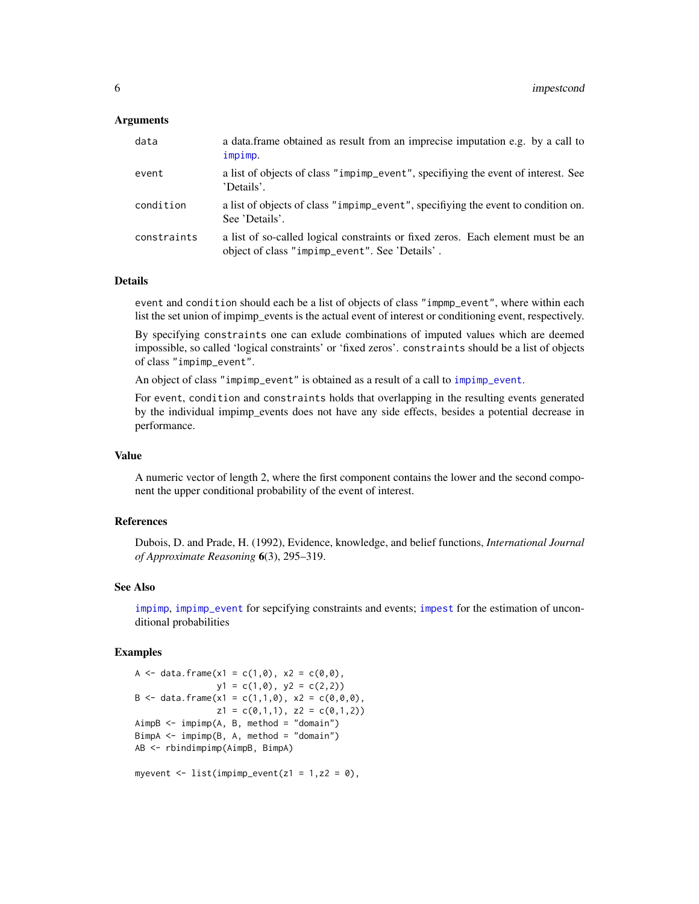#### <span id="page-5-0"></span>**Arguments**

| data        | a data frame obtained as result from an imprecise imputation e.g. by a call to<br>impimp.                                         |
|-------------|-----------------------------------------------------------------------------------------------------------------------------------|
| event       | a list of objects of class "impimp_event", specifiying the event of interest. See<br>'Details'.                                   |
| condition   | a list of objects of class "impimp_event", specifiying the event to condition on.<br>See 'Details'.                               |
| constraints | a list of so-called logical constraints or fixed zeros. Each element must be an<br>object of class "impimp_event". See 'Details'. |

# **Details**

event and condition should each be a list of objects of class "impmp\_event", where within each list the set union of impimp\_events is the actual event of interest or conditioning event, respectively.

By specifying constraints one can exlude combinations of imputed values which are deemed impossible, so called 'logical constraints' or 'fixed zeros'. constraints should be a list of objects of class "impimp\_event".

An object of class "impimp\_event" is obtained as a result of a call to [impimp\\_event](#page-8-1).

For event, condition and constraints holds that overlapping in the resulting events generated by the individual impimp\_events does not have any side effects, besides a potential decrease in performance.

# Value

A numeric vector of length 2, where the first component contains the lower and the second component the upper conditional probability of the event of interest.

# References

Dubois, D. and Prade, H. (1992), Evidence, knowledge, and belief functions, *International Journal of Approximate Reasoning* 6(3), 295–319.

#### See Also

[impimp](#page-6-1), [impimp\\_event](#page-8-1) for sepcifying constraints and events; [impest](#page-3-1) for the estimation of unconditional probabilities

#### Examples

```
A <- data.frame(x1 = c(1,0), x2 = c(0,0),
               y1 = c(1, 0), y2 = c(2, 2)B \le - data.frame(x1 = c(1,1,0), x2 = c(0,0,0),
                z1 = c(0,1,1), z2 = c(0,1,2)AimpB \leq -impimp(A, B, method = "domain")BimpA \leq impimp(B, A, method = "domain")
AB <- rbindimpimp(AimpB, BimpA)
myevent \leq list(impimp_event(z1 = 1,z2 = 0),
```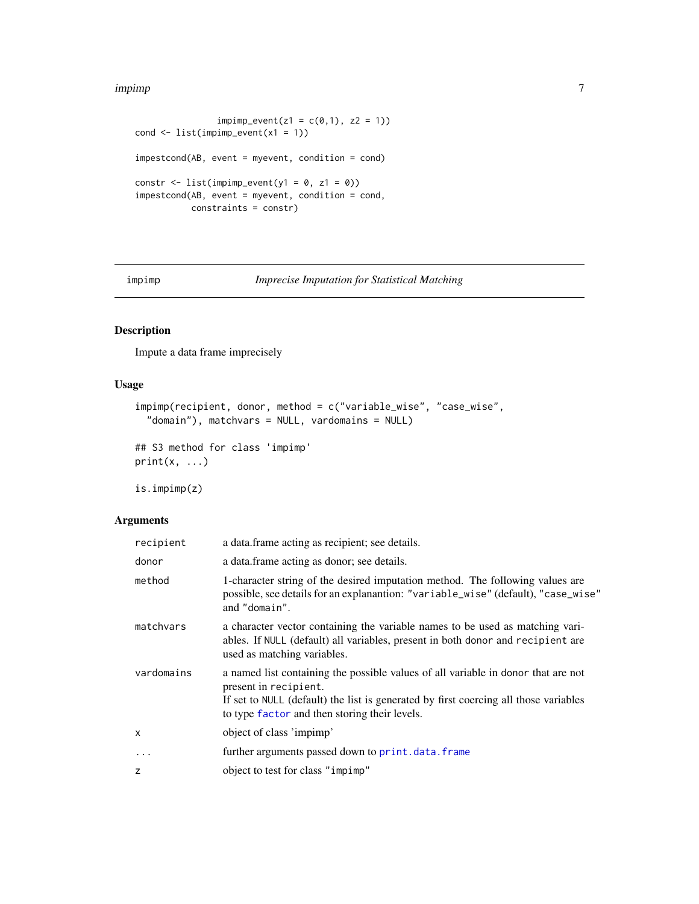#### <span id="page-6-0"></span>impimp 7

```
imp_evert(z1 = c(0,1), z2 = 1))cond \le list(impimp_event(x1 = 1))
impestcond(AB, event = myevent, condition = cond)constr \le list(impimp_event(y1 = 0, z1 = 0))
impestcond(AB, event = myevent, condition = cond,
          constraints = constr)
```
<span id="page-6-1"></span>impimp *Imprecise Imputation for Statistical Matching*

# Description

Impute a data frame imprecisely

# Usage

```
impimp(recipient, donor, method = c("variable_wise", "case_wise",
  "domain"), matchvars = NULL, vardomains = NULL)
## S3 method for class 'impimp'
print(x, \ldots)
```
is.impimp(z)

# Arguments

| recipient  | a data frame acting as recipient; see details.                                                                                                                                                                                                      |
|------------|-----------------------------------------------------------------------------------------------------------------------------------------------------------------------------------------------------------------------------------------------------|
| donor      | a data. frame acting as donor; see details.                                                                                                                                                                                                         |
| method     | 1-character string of the desired imputation method. The following values are<br>possible, see details for an explanantion: "variable_wise" (default), "case_wise"<br>and "domain".                                                                 |
| matchvars  | a character vector containing the variable names to be used as matching vari-<br>ables. If NULL (default) all variables, present in both donor and recipient are<br>used as matching variables.                                                     |
| vardomains | a named list containing the possible values of all variable in donor that are not<br>present in recipient.<br>If set to NULL (default) the list is generated by first coercing all those variables<br>to type factor and then storing their levels. |
| X          | object of class 'impimp'                                                                                                                                                                                                                            |
| $\cdots$   | further arguments passed down to print.data.frame                                                                                                                                                                                                   |
| z          | object to test for class "impimp"                                                                                                                                                                                                                   |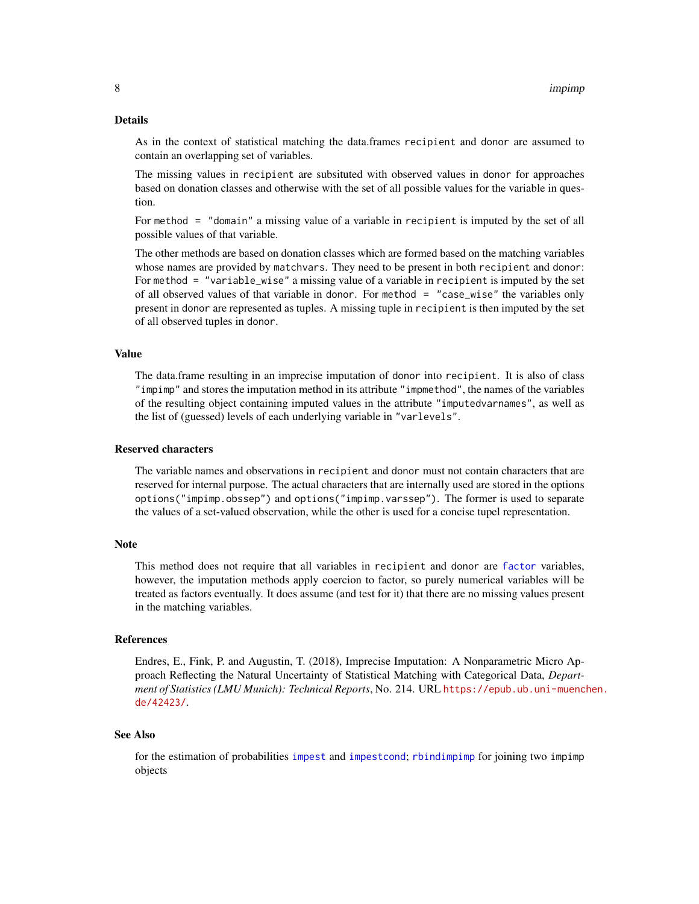#### <span id="page-7-0"></span>Details

As in the context of statistical matching the data.frames recipient and donor are assumed to contain an overlapping set of variables.

The missing values in recipient are subsituted with observed values in donor for approaches based on donation classes and otherwise with the set of all possible values for the variable in question.

For method = "domain" a missing value of a variable in recipient is imputed by the set of all possible values of that variable.

The other methods are based on donation classes which are formed based on the matching variables whose names are provided by matchvars. They need to be present in both recipient and donor: For method = "variable\_wise" a missing value of a variable in recipient is imputed by the set of all observed values of that variable in donor. For method = "case\_wise" the variables only present in donor are represented as tuples. A missing tuple in recipient is then imputed by the set of all observed tuples in donor.

#### Value

The data.frame resulting in an imprecise imputation of donor into recipient. It is also of class "impimp" and stores the imputation method in its attribute "impmethod", the names of the variables of the resulting object containing imputed values in the attribute "imputedvarnames", as well as the list of (guessed) levels of each underlying variable in "varlevels".

#### Reserved characters

The variable names and observations in recipient and donor must not contain characters that are reserved for internal purpose. The actual characters that are internally used are stored in the options options("impimp.obssep") and options("impimp.varssep"). The former is used to separate the values of a set-valued observation, while the other is used for a concise tupel representation.

#### Note

This method does not require that all variables in recipient and donor are [factor](#page-0-0) variables, however, the imputation methods apply coercion to factor, so purely numerical variables will be treated as factors eventually. It does assume (and test for it) that there are no missing values present in the matching variables.

# References

Endres, E., Fink, P. and Augustin, T. (2018), Imprecise Imputation: A Nonparametric Micro Approach Reflecting the Natural Uncertainty of Statistical Matching with Categorical Data, *Department of Statistics (LMU Munich): Technical Reports*, No. 214. URL [https://epub.ub.uni-muenc](https://epub.ub.uni-muenchen.de/42423/)hen. [de/42423/](https://epub.ub.uni-muenchen.de/42423/).

#### See Also

for the estimation of probabilities [impest](#page-3-1) and [impestcond](#page-4-1); [rbindimpimp](#page-9-1) for joining two impimp objects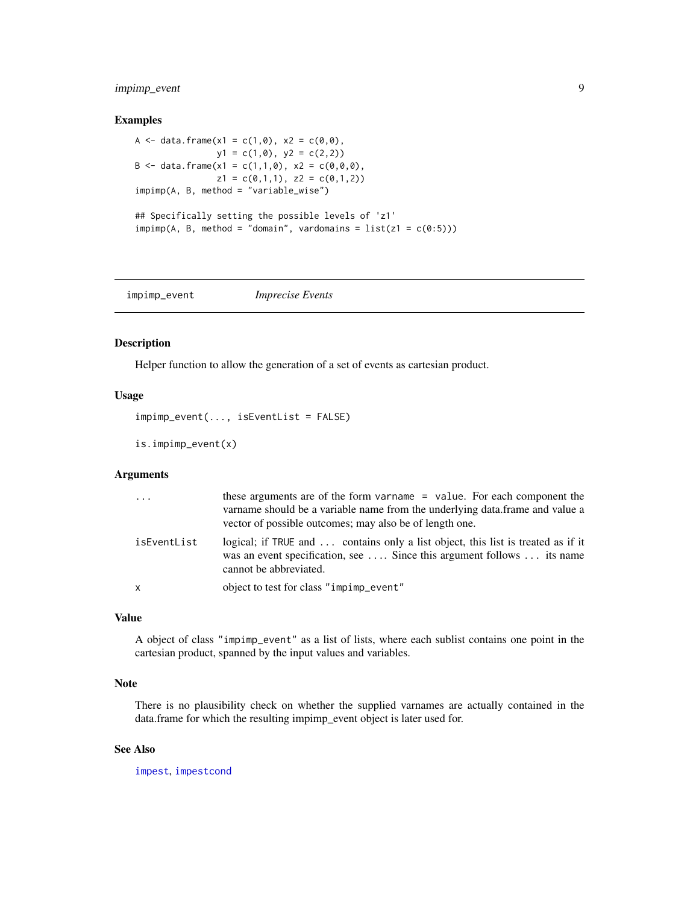# <span id="page-8-0"></span>impimp\_event 9

# Examples

```
A <- data.frame(x1 = c(1,0), x2 = c(0,0),
                y1 = c(1, 0), y2 = c(2, 2)B <- data.frame(x1 = c(1,1,0), x2 = c(0,0,0),
                z1 = c(0,1,1), z2 = c(0,1,2))impimp(A, B, method = "variable_wise")
## Specifically setting the possible levels of 'z1'
imp(<math>A</math>, <math>B</math>, method = "domain", vardomains = list(z1 = c(0:5)))
```
<span id="page-8-1"></span>impimp\_event *Imprecise Events*

### Description

Helper function to allow the generation of a set of events as cartesian product.

# Usage

```
impimp_event(..., isEventList = FALSE)
```

```
is.impimp_event(x)
```
### Arguments

| $\cdots$    | these arguments are of the form varname = value. For each component the<br>variance should be a variable name from the underlying data. frame and value a<br>vector of possible outcomes; may also be of length one. |
|-------------|----------------------------------------------------------------------------------------------------------------------------------------------------------------------------------------------------------------------|
| isEventList | logical; if TRUE and  contains only a list object, this list is treated as if it<br>was an event specification, see  Since this argument follows  its name<br>cannot be abbreviated.                                 |
| x           | object to test for class "impimp_event"                                                                                                                                                                              |

#### Value

A object of class "impimp\_event" as a list of lists, where each sublist contains one point in the cartesian product, spanned by the input values and variables.

# Note

There is no plausibility check on whether the supplied varnames are actually contained in the data.frame for which the resulting impimp\_event object is later used for.

#### See Also

[impest](#page-3-1), [impestcond](#page-4-1)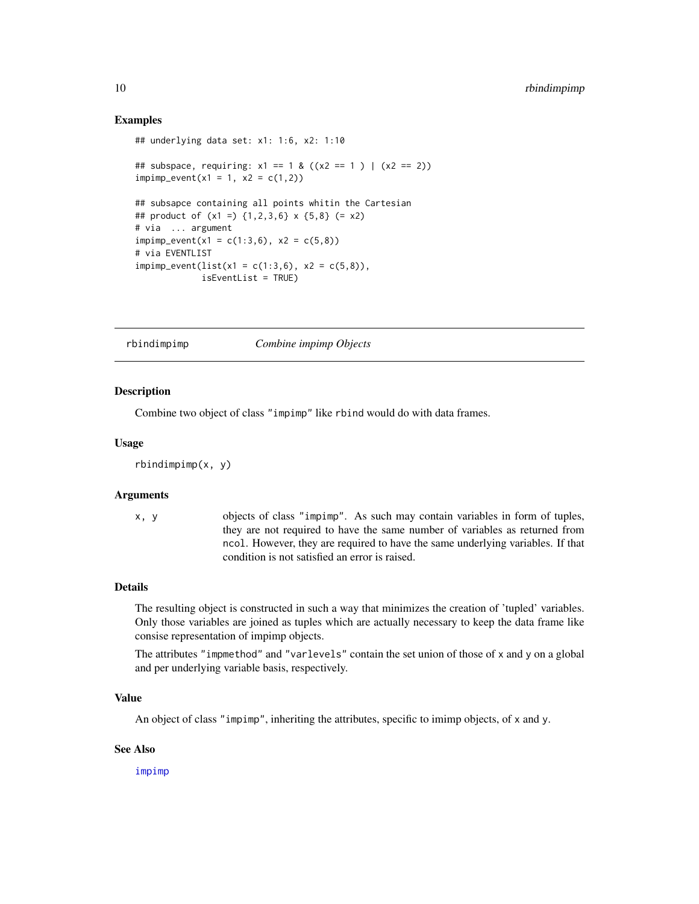### Examples

```
## underlying data set: x1: 1:6, x2: 1:10
## subspace, requiring: x1 == 1 & ((x2 == 1) | (x2 == 2))impimp_events(x1 = 1, x2 = c(1,2))## subsapce containing all points whitin the Cartesian
## product of (x1 =) {1,2,3,6} x {5,8} (= x2)
# via ... argument
impimp_events(x1 = c(1:3,6), x2 = c(5,8))# via EVENTLIST
impimp_events(list(x1 = c(1:3,6), x2 = c(5,8)),isEventList = TRUE)
```
<span id="page-9-1"></span>rbindimpimp *Combine impimp Objects*

#### Description

Combine two object of class "impimp" like rbind would do with data frames.

#### Usage

```
rbindimpimp(x, y)
```
#### Arguments

x, y objects of class "impimp". As such may contain variables in form of tuples, they are not required to have the same number of variables as returned from ncol. However, they are required to have the same underlying variables. If that condition is not satisfied an error is raised.

#### Details

The resulting object is constructed in such a way that minimizes the creation of 'tupled' variables. Only those variables are joined as tuples which are actually necessary to keep the data frame like consise representation of impimp objects.

The attributes "impmethod" and "varlevels" contain the set union of those of x and y on a global and per underlying variable basis, respectively.

# Value

An object of class "impimp", inheriting the attributes, specific to imimp objects, of x and y.

#### See Also

[impimp](#page-6-1)

<span id="page-9-0"></span>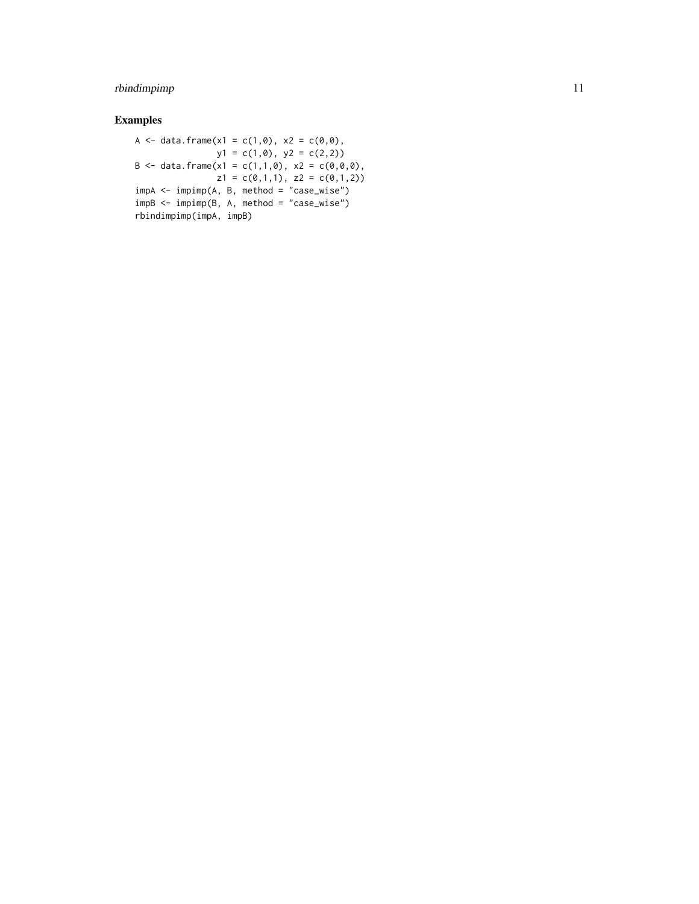# rbindimpimp 11

# Examples

```
A <- data.frame(x1 = c(1,0), x2 = c(0,0),
              y1 = c(1,0), y2 = c(2,2)B <- data.frame(x1 = c(1,1,0), x2 = c(0,0,0),
               z1 = c(0,1,1), z2 = c(0,1,2)impA <- impimp(A, B, method = "case_wise")
impB <- impimp(B, A, method = "case_wise")
rbindimpimp(impA, impB)
```